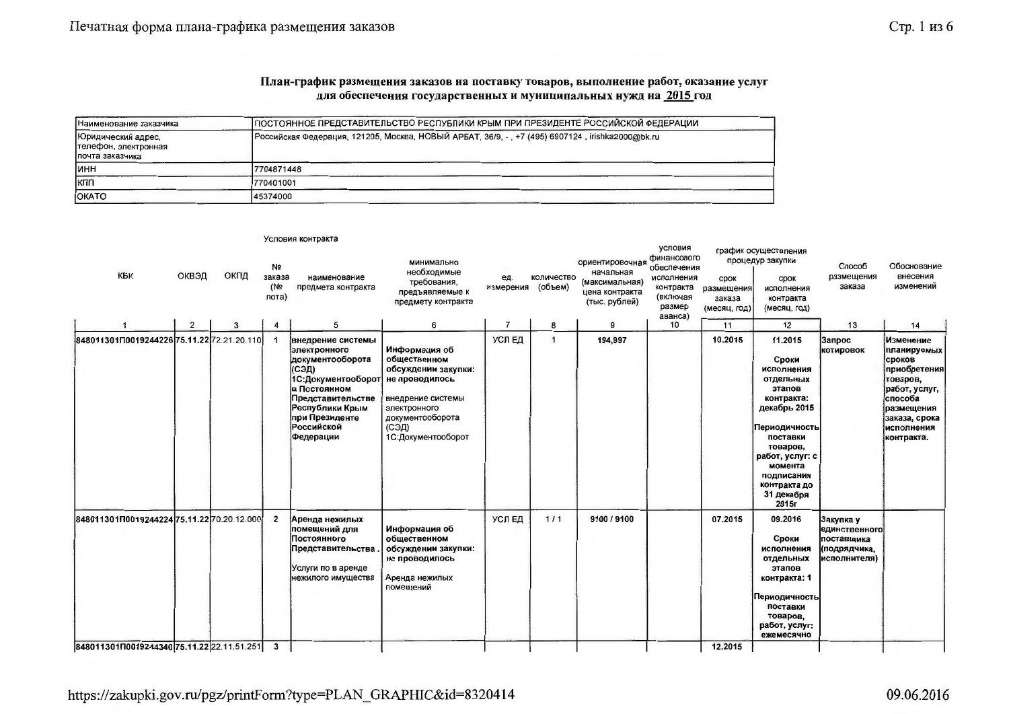#### План-график размещения заказов на поставку товаров, выполнение работ, оказание услуг для обеспечения государственных и муниципальных нужд на 2015 год

| Наименование заказчика                                         | ПОСТОЯННОЕ ПРЕДСТАВИТЕЛЬСТВО РЕСПУБЛИКИ КРЫМ ПРИ ПРЕЗИДЕНТЕ РОССИЙСКОЙ ФЕДЕРАЦИИ                |
|----------------------------------------------------------------|-------------------------------------------------------------------------------------------------|
| Юридический адрес,<br>телефон, электронная<br>Іпочта заказчика | Российская Федерация, 121205, Москва, НОВЫЙ АРБАТ, 36/9, -, +7 (495) 6907124, irishka2000@bk.ru |
| Іинн                                                           | 17704871448                                                                                     |
| Ікпп                                                           | 770401001                                                                                       |
| <b>OKATO</b>                                                   | 45374000                                                                                        |

|                                              |       |      |                                          | , <del>., ., ., ., ., ., ., ., ., .</del>                                                                                                                                                        |                                                                                                                                                                |                  |                       |                                                                                   |                                                                                                   |                                              |                                                                                                                                                                                                                 |                                                                                 |                                                                                                                                                       |
|----------------------------------------------|-------|------|------------------------------------------|--------------------------------------------------------------------------------------------------------------------------------------------------------------------------------------------------|----------------------------------------------------------------------------------------------------------------------------------------------------------------|------------------|-----------------------|-----------------------------------------------------------------------------------|---------------------------------------------------------------------------------------------------|----------------------------------------------|-----------------------------------------------------------------------------------------------------------------------------------------------------------------------------------------------------------------|---------------------------------------------------------------------------------|-------------------------------------------------------------------------------------------------------------------------------------------------------|
| KPK                                          | ОКВЭД | ОКПД | N <sub>2</sub><br>заказа<br>(N2<br>лота) | наименование<br>предмета контракта                                                                                                                                                               | минимально<br>необходимые<br>требования,<br>предъявляемые к<br>предмету контракта                                                                              | ед.<br>измерения | количество<br>(объем) | ориентировочная<br>начальная<br>(максимальная)<br>цена контракта<br>(тыс. рублей) | условия<br>финансового<br>обеспечения<br>исполнения<br>контракта<br>(включая<br>размер<br>аванса) | срок<br>размещения<br>заказа<br>(месяц, год) | график осуществления<br>процедур закупки<br>срок<br>исполнения<br>контракта<br>(месяц, год)                                                                                                                     | Способ<br>размещения<br>заказа                                                  | Обоснование<br>внесения<br>изменений                                                                                                                  |
|                                              | 2     | 3    | 4                                        | 5                                                                                                                                                                                                | 6                                                                                                                                                              | $\overline{7}$   | 8                     | 9                                                                                 | 10                                                                                                | 11                                           | 12                                                                                                                                                                                                              | 13                                                                              | 14                                                                                                                                                    |
| 848011301П0019244226 75.11.22 72.21.20.110   |       |      |                                          | внедрение системы<br>злектронного<br>документооборота<br>(СЭД)<br>1С:Документооборот<br>в Постоянном<br>Представительстве<br>Республики Крым<br>при Президенте<br><b>Российской</b><br>Федерации | Информация об<br>общественном<br>обсуждении закупки:<br>не проводилось<br>внедрение системы<br>электронного<br>документооборота<br>(СЭД)<br>1С:Документооборот | УСЛЕД            | $\mathbf 1$           | 194,997                                                                           |                                                                                                   | 10.2015                                      | 11.2015<br>Сроки<br>исполнения<br>отдельных<br>этапов<br>контракта:<br>декабрь 2015<br>Периодичность<br>поставки<br>товаров,<br>работ, услуг: с<br>момента<br>подписания<br>контракта до<br>31 декабря<br>2015г | Запрос<br>котировок                                                             | Изменение<br>планируемых<br>сроков<br>приобретения<br>товаров,<br>работ, услуг,<br>способа<br>размещения<br>заказа, срока<br>исполнения<br>контракта. |
| 848011301П0019244224 75.11.22 70.20.12.000   |       |      | $\overline{2}$                           | Аренда нежилых<br>помещений для<br>Постоянного<br>Представительства<br>Услуги по в аренде<br>нежилого имущества                                                                                  | Информация об<br>общественном<br>обсуждении закупки:<br>не проводилось<br>Аренда нежилых<br>помещений                                                          | УСЛЕД            | $1/1$                 | 9100 / 9100                                                                       |                                                                                                   | 07.2015                                      | 09.2016<br>Сроки<br>исполнения<br>отдельных<br>этапов<br>контракта: 1<br>Периодичность<br>поставки<br>товаров,<br>работ, услуг:<br>ежемесячно                                                                   | Закупка у<br><b>единственного</b><br>поставщика<br>(подрядчика,<br>исполнителя) |                                                                                                                                                       |
| 84801130111001924434075.11.22 22.11.51.251 3 |       |      |                                          |                                                                                                                                                                                                  |                                                                                                                                                                |                  |                       |                                                                                   |                                                                                                   | 12.2015                                      |                                                                                                                                                                                                                 |                                                                                 |                                                                                                                                                       |

## https://zakupki.gov.ru/pgz/printForm?type=PLAN\_GRAPHIC&id=8320414

Venesue voutpouts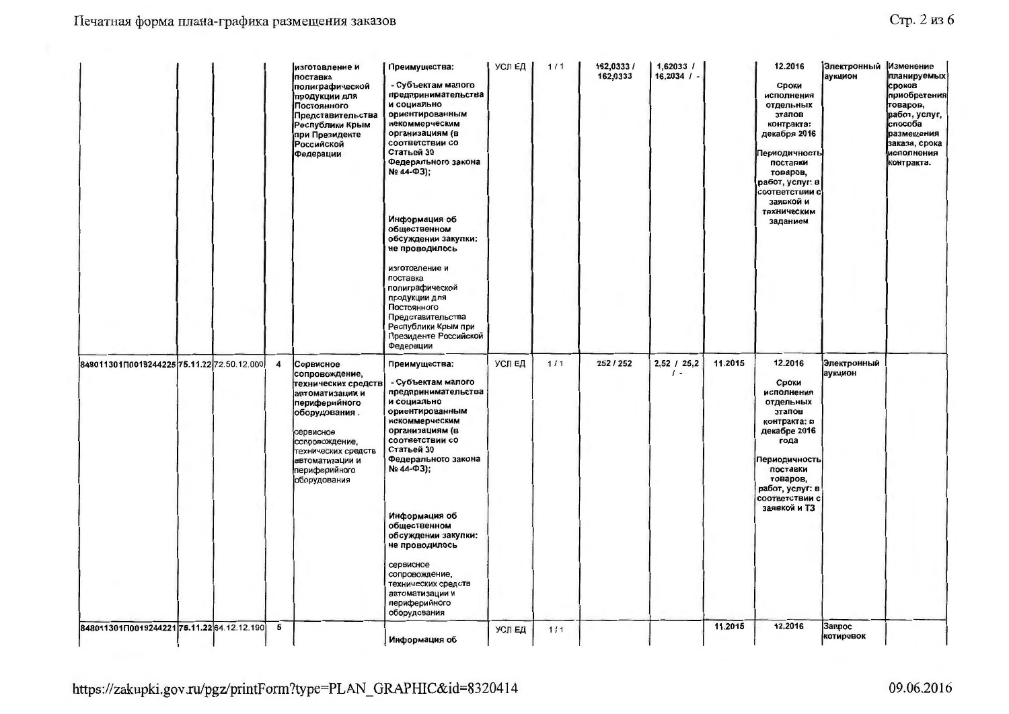|                                            |  |                         | изготовление и<br>поставка<br>полиграфической<br>продукции для<br>Постоянного<br>Представительства<br>Республики Крым<br>при Президенте<br><b>Российской</b><br>Федерации                                         | Преимущества:<br>- Субъектам малого<br>предпринимательства<br>и социально<br>ориентированным<br>некоммерческим<br>организациям (в<br>соответствии со<br>Статьей 30<br>Федерального закона<br>Nº 44-Φ3);<br>Информация об<br>общественном<br>обсуждении закупки:<br>не проводилось<br>изготовление и<br>поставка<br>полиграфической<br>продукции для<br>Постоянного<br>Представительства<br>Республики Крым при<br>Президенте Российской<br>Федерации | УСЛ ЕД | 1/1   | 162,0333 /<br>162,0333 | 1,62033 /<br>$16,2034$ / -    |         | 12.2016<br>Сроки<br>исполнения<br>отдельных<br>этапов<br>контракта:<br>декабря 2016<br>Периодичность<br>поставки<br>товаров,<br>работ, услуг: в<br>соответствии с<br>заявкой и<br>техническим<br>заданием | Электронный<br>аукцион | Изменение<br>планируемых<br>сроков<br>приобретения<br>товаров,<br>работ, услуг,<br>способа<br>размещения<br>заказа, срока<br>исполнения<br>контракта. |
|--------------------------------------------|--|-------------------------|-------------------------------------------------------------------------------------------------------------------------------------------------------------------------------------------------------------------|------------------------------------------------------------------------------------------------------------------------------------------------------------------------------------------------------------------------------------------------------------------------------------------------------------------------------------------------------------------------------------------------------------------------------------------------------|--------|-------|------------------------|-------------------------------|---------|-----------------------------------------------------------------------------------------------------------------------------------------------------------------------------------------------------------|------------------------|-------------------------------------------------------------------------------------------------------------------------------------------------------|
| 848011301Π0019244225 75.11.22 72.50.12.000 |  | $\overline{\mathbf{4}}$ | Сервисное<br>сопровождение,<br>технических средств<br>автоматизации и<br>периферийного<br>оборудования.<br>сервисное<br>сопровождение,<br>технических средств<br>автоматизации и<br>периферийного<br>оборудования | Преимущества:<br>- Субъектам малого<br>предпринимательства<br>и социально<br>ориентированным<br>некоммерческим<br>организациям (в<br>соответствии со<br>Статьей 30<br>Федерального закона<br>Nº 44-Φ3);<br>Информация об<br>общественном<br>обсуждении закупки:<br>не проводилось<br>сервисное<br>сопровождение,<br>технических средств<br>автоматизации и<br>периферийного<br>оборудования                                                          | УСЛЕД  | 1/1   | 252 / 252              | $2,52$ / $25,2$<br>$\prime$ - | 11.2015 | 12.2016<br>Сроки<br>исполнения<br>отдельных<br>этапов<br>контракта: в<br>декабре 2016<br>года<br>Периодичность<br>поставки<br>товаров,<br>работ, услуг: в<br>соответствии с<br>заявкой и ТЗ               | Электронный<br>аукцион |                                                                                                                                                       |
| 848011301П001924422175.11.22 64.12.12.190  |  | 5                       |                                                                                                                                                                                                                   | Информация об                                                                                                                                                                                                                                                                                                                                                                                                                                        | УСЛ ЕД | $1/1$ |                        |                               | 11.2015 | 12.2016                                                                                                                                                                                                   | Запрос<br>котировок    |                                                                                                                                                       |

https://zakupki.gov.ru/pgz/printForm?type=PLAN\_GRAPHIC&id=8320414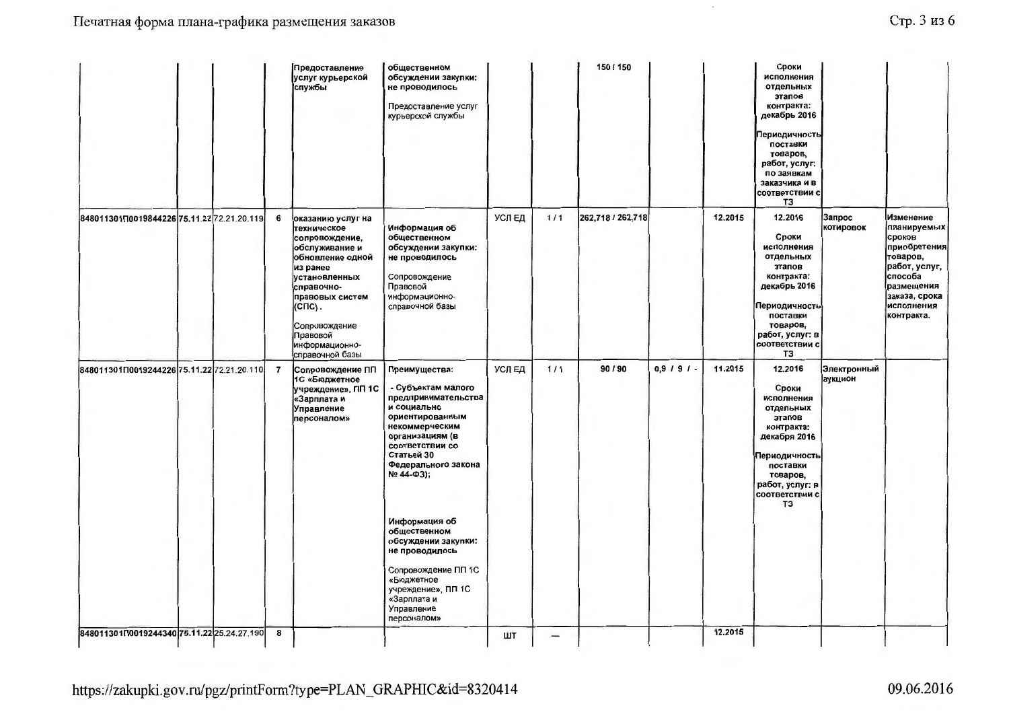| Стр. 3 из 6 |  |  |  |
|-------------|--|--|--|
|-------------|--|--|--|

 $\sim$ 

|                                            |  |                | Предоставление<br>услуг курьерской<br>службы                                                                                                                                                                                       | общественном<br>обсуждении закупки:<br>не проводилось<br>Предоставление услуг<br>курьерской службы                                                                                                               |        |       | 150 / 150         |               |         | Сроки<br>исполнения<br>отдельных<br>этапов<br>контракта:<br>декабрь 2016<br>Периодичность<br>поставки<br>товаров,<br>работ, услуг:<br>по заявкам<br>заказчика и в<br>соответствии с<br>T3 |                        |                                                                                                                                                       |
|--------------------------------------------|--|----------------|------------------------------------------------------------------------------------------------------------------------------------------------------------------------------------------------------------------------------------|------------------------------------------------------------------------------------------------------------------------------------------------------------------------------------------------------------------|--------|-------|-------------------|---------------|---------|-------------------------------------------------------------------------------------------------------------------------------------------------------------------------------------------|------------------------|-------------------------------------------------------------------------------------------------------------------------------------------------------|
| 848011301П0019844226 75.11.22 72.21.20.119 |  | 6              | оказанию услуг на<br>техническое<br>сопровождение,<br>обслуживание и<br>обновление одной<br>из ранее<br>установленных<br>справочно-<br>правовых систем<br>(СПС).<br>Сопровождение<br>Правовой<br>информационно-<br>справочной базы | Информация об<br>общественном<br>обсуждении закупки:<br>не проводилось<br>Сопровождение<br>Правовой<br>информационно-<br>справочной базы                                                                         | УСЛЕД  | $1/1$ | 262,718 / 262,718 |               | 12.2015 | 12.2016<br>Сроки<br>исполнения<br>отдельных<br>этапов<br>контракта:<br>декабрь 2016<br>Периодичность<br>поставки<br>товаров,<br>работ, услуг: в<br>соответствии с<br>T3                   | Запрос<br>котировок    | Изменение<br>планируемых<br>сроков<br>приобретения<br>товаров,<br>работ, услуг,<br>способа<br>размещения<br>заказа, срока<br>исполнения<br>контракта. |
| 848011301П0019244226 75.11.22 72.21.20.110 |  | $\overline{7}$ | Сопровождение ПП<br>1С «Бюджетное<br>учреждение», ПП 1С<br>«Зарплата и<br>Управление<br>персоналом»                                                                                                                                | Преимущества:<br>- Субъектам малого<br>предпринимательства<br>и социально<br>ориентированным<br>некоммерческим<br>организациям (в<br>соответствии со<br>Статьей 30<br>Федерального закона<br>$N2$ 44- $\Phi$ 3); | УСЛ ЕД | 1/1   | 90 / 90           | $0,9,1,9,1$ . | 11.2015 | 12.2016<br>Сроки<br>исполнения<br>отдельных<br>этапов<br>контракта:<br>декабря 2016<br>Периодичность<br>поставки<br>товаров,<br>работ, услуг: в<br>соответствии с<br>ТЗ                   | Электронный<br>аукцион |                                                                                                                                                       |
|                                            |  |                |                                                                                                                                                                                                                                    | Информация об<br>общественном<br>обсуждении закупки:<br>не проводилось<br>Сопровождение ПП 1С<br>«Бюджетное<br>учреждение», ПП 1С<br>«Зарплата и<br>Управление<br>персоналом»                                    |        |       |                   |               |         |                                                                                                                                                                                           |                        |                                                                                                                                                       |
| 848011301П0019244340 75.11.22 25.24.27.190 |  | 8              |                                                                                                                                                                                                                                    |                                                                                                                                                                                                                  | ШТ     | —     |                   |               | 12.2015 |                                                                                                                                                                                           |                        |                                                                                                                                                       |

https://zakupki.gov.ru/pgz/printForm?type=PLAN\_GRAPHIC&id=8320414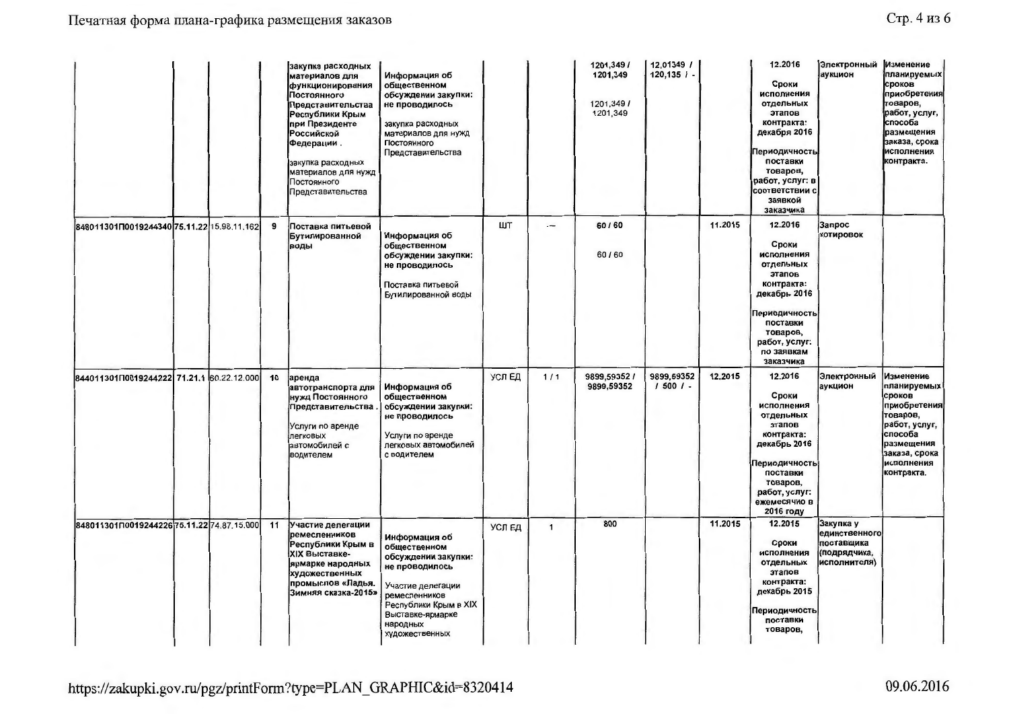| Стр. 4 из 6 |  |  |  |
|-------------|--|--|--|
|-------------|--|--|--|

|                                            |  |    | закупка расходных<br>материалов для<br>функционирования<br>Постоянного<br>Представительства<br>Республики Крым<br>при Президенте<br><b>Российской</b><br>Федерации.<br>закупка расходных<br>материалов для нужд<br>Постоянного<br>Представительства | Информация об<br>общественном<br>обсуждении закупки:<br>не проводилось<br>закупка расходных<br>материалов для нужд<br>Постоянного<br>Представительства                                         |        |              | 1201,349/<br>1201,349<br>1201.349/<br>1201,349 | 12,01349 /<br>$120,135$ / - |         | 12.2016<br>Сроки<br>исполнения<br>отдельных<br>этапов<br>контракта:<br>декабря 2016<br><b>Периодичность</b><br>поставки<br>товаров,<br>работ, услуг: в<br>соответствии с<br>заявкой<br>заказчика | Электронный<br>аукцион                                                   | Изменение<br>планируемых<br>сроков<br>приобретения<br>товаров,<br>работ, услуг,<br>способа<br>размещения<br>заказа, срока<br>исполнения<br>контракта. |
|--------------------------------------------|--|----|-----------------------------------------------------------------------------------------------------------------------------------------------------------------------------------------------------------------------------------------------------|------------------------------------------------------------------------------------------------------------------------------------------------------------------------------------------------|--------|--------------|------------------------------------------------|-----------------------------|---------|--------------------------------------------------------------------------------------------------------------------------------------------------------------------------------------------------|--------------------------------------------------------------------------|-------------------------------------------------------------------------------------------------------------------------------------------------------|
| 848011301П0019244340 75.11.22 15.98.11.162 |  | 9  | Поставка питьевой<br>Бутилированной<br>воды                                                                                                                                                                                                         | Информация об<br>общественном<br>обсуждении закупки:<br>не проводилось<br>Поставка питьевой<br>Бутилированной воды                                                                             | ШΤ     | —            | 60/60<br>60/60                                 |                             | 11.2015 | 12.2016<br>Сроки<br>исполнения<br>отдельных<br>этапов<br>контракта:<br>декабрь 2016<br>Периодичность<br>поставки<br>товаров,<br>работ, услуг:<br>по заявкам<br>заказчика                         | Запрос<br><b>КОТИРОВОК</b>                                               |                                                                                                                                                       |
| 844011301П0019244222 71.21.1 60.22.12.000  |  | 10 | аренда<br>автотранспорта для<br>нужд Постоянного<br>Представительства<br>Услуги по аренде<br>легковых<br>автомобилей с<br>водителем                                                                                                                 | Информация об<br>общественном<br>обсуждении закупки:<br>не проводилось<br>Услуги по аренде<br>легковых автомобилей<br>с водителем                                                              | УСЛЕД  | 1/1          | 9899,59352 /<br>9899,59352                     | 9899,59352<br>$15001 -$     | 12.2015 | 12.2016<br>Сроки<br>исполнения<br>отдельных<br>этапов<br>контракта:<br>декабрь 2016<br>Периодичность<br>поставки<br>товаров,<br>работ, услуг:<br>ежемесячно в<br>2016 году                       | Электронный<br>аукцион                                                   | Изменение<br>планируемых<br>сроков<br>приобретения<br>товаров,<br>работ, услуг,<br>способа<br>размещения<br>заказа, срока<br>исполнения<br>контракта. |
| 848011301П0019244226 75.11.22 74.87.15.000 |  | 11 | Участие делегации<br>ремесленников<br>Республики Крым в<br>XIX Выставке-<br>ярмарке народных<br>художественных<br>промыслов «Ладья.<br>Зимняя сказка-2015»                                                                                          | Информация об<br>общественном<br>обсуждении закупки:<br>не проводилось<br>Участие делегации<br>ремесленников<br><b>Республики Крым в XIX</b><br>Выставке-ярмарке<br>народных<br>художественных | УСЛ ЕД | $\mathbf{1}$ | 800                                            |                             | 11.2015 | 12.2015<br>Сроки<br>исполнения<br>отдельных<br>этапов<br>контракта:<br>декабрь 2015<br>Периодичность<br>поставки<br>товаров,                                                                     | Закупка у<br>единственного<br>поставщика<br>(подрядчика,<br>исполнителя) |                                                                                                                                                       |

https://zakupki.gov.ru/pgz/printForm?type=PLAN\_GRAPHIC&id=8320414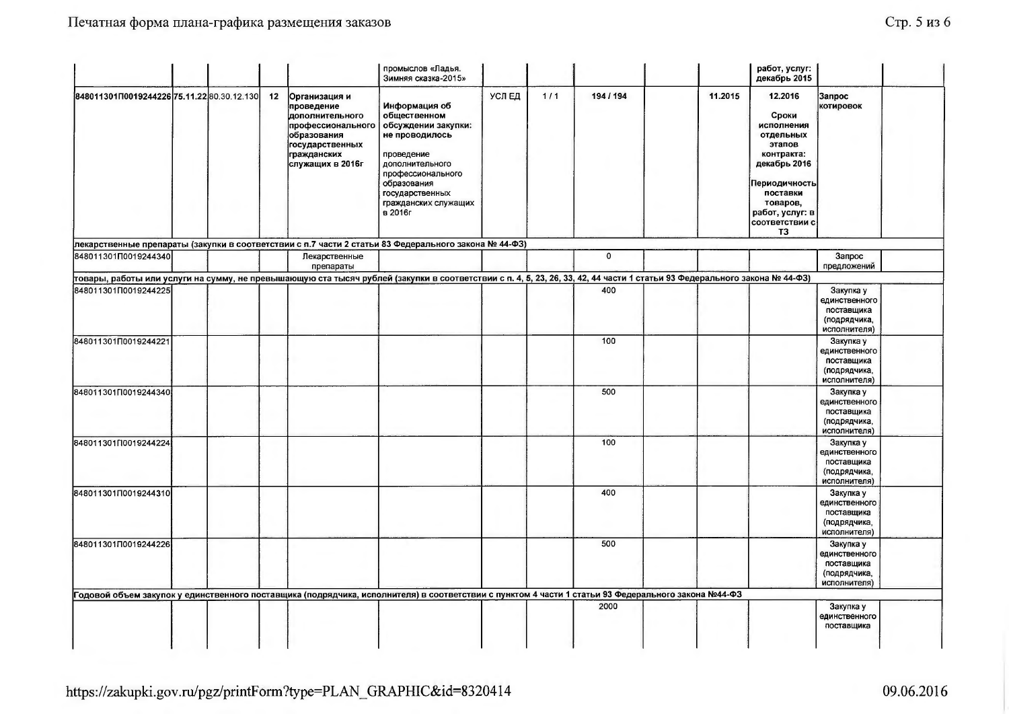|                                            |  |    |                                                                                                                                          | промыслов «Ладья.<br>Зимняя сказка-2015»                                                                                                                                                                 |       |       |             |                                                                                                                                                                          | работ, услуг:<br>декабрь 2015                                                                                                                                           |                                                                          |  |
|--------------------------------------------|--|----|------------------------------------------------------------------------------------------------------------------------------------------|----------------------------------------------------------------------------------------------------------------------------------------------------------------------------------------------------------|-------|-------|-------------|--------------------------------------------------------------------------------------------------------------------------------------------------------------------------|-------------------------------------------------------------------------------------------------------------------------------------------------------------------------|--------------------------------------------------------------------------|--|
| 848011301П0019244226 75.11.22 80.30.12.130 |  | 12 | Организация и<br>проведение<br>дополнительного<br>профессионального<br>образования<br>государственных<br>гражданских<br>служащих в 2016г | Информация об<br>общественном<br>обсуждении закупки:<br>не проводилось<br>проведение<br>дополнительного<br>профессионального<br>образования<br>государственных<br>гражданских служащих<br><b>в</b> 2016г | УСЛЕД | $1/1$ | 194 / 194   | 11.2015                                                                                                                                                                  | 12.2016<br>Сроки<br>исполнения<br>отдельных<br>этапов<br>контракта:<br>декабрь 2016<br>Периодичность<br>поставки<br>товаров,<br>работ, услуг: в<br>соответствии с<br>T3 | Запрос<br>котировок                                                      |  |
|                                            |  |    |                                                                                                                                          | лекарственные препараты (закупки в соответствии с п.7 части 2 статьи 83 Федерального закона № 44-ФЗ)                                                                                                     |       |       |             |                                                                                                                                                                          |                                                                                                                                                                         |                                                                          |  |
| 848011301П0019244340                       |  |    | Лекарственные<br>препараты                                                                                                               |                                                                                                                                                                                                          |       |       | $\mathbf 0$ |                                                                                                                                                                          |                                                                                                                                                                         | Запрос<br>предложений                                                    |  |
|                                            |  |    |                                                                                                                                          |                                                                                                                                                                                                          |       |       |             | повары, работы или услуги на сумму, не превышающую ста тысяч рублей (закупки в соответствии с п. 4, 5, 23, 26, 33, 42, 44 части 1 статьи 93 Федерального закона № 44-ФЗ) |                                                                                                                                                                         |                                                                          |  |
| 848011301П0019244225                       |  |    |                                                                                                                                          |                                                                                                                                                                                                          |       |       | 400         |                                                                                                                                                                          |                                                                                                                                                                         | Закупка у<br>единственного<br>поставщика<br>(подрядчика,<br>исполнителя) |  |
| 848011301П0019244221                       |  |    |                                                                                                                                          |                                                                                                                                                                                                          |       |       | 100         |                                                                                                                                                                          |                                                                                                                                                                         | Закупка у<br>единственного<br>поставщика<br>(подрядчика,<br>исполнителя) |  |
| 84801130100019244340                       |  |    |                                                                                                                                          |                                                                                                                                                                                                          |       |       | 500         |                                                                                                                                                                          |                                                                                                                                                                         | Закупка у<br>единственного<br>поставщика<br>(подрядчика,<br>исполнителя) |  |
| 848011301∏0019244224                       |  |    |                                                                                                                                          |                                                                                                                                                                                                          |       |       | 100         |                                                                                                                                                                          |                                                                                                                                                                         | Закупка у<br>единственного<br>поставщика<br>(подрядчика,<br>исполнителя) |  |
| 848011301П0019244310                       |  |    |                                                                                                                                          |                                                                                                                                                                                                          |       |       | 400         |                                                                                                                                                                          |                                                                                                                                                                         | Закупка у<br>единственного<br>поставщика<br>(подрядчика,<br>исполнителя) |  |
| 848011301П0019244226                       |  |    |                                                                                                                                          |                                                                                                                                                                                                          |       |       | 500         |                                                                                                                                                                          |                                                                                                                                                                         | Закупка у<br>единственного<br>поставщика<br>(подрядчика,<br>исполнителя) |  |
|                                            |  |    |                                                                                                                                          | Годовой объем закупок у единственного поставщика (подрядчика, исполнителя) в соответствии с пунктом 4 части 1 статьи 93 Федерального закона №44-ФЗ                                                       |       |       |             |                                                                                                                                                                          |                                                                                                                                                                         |                                                                          |  |
|                                            |  |    |                                                                                                                                          |                                                                                                                                                                                                          |       |       | 2000        |                                                                                                                                                                          |                                                                                                                                                                         | Закупка у<br>единственного<br>поставщика                                 |  |